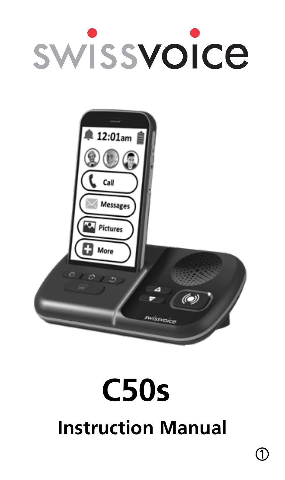# **SWISSVOICE**



# **Instruction Manual C50s**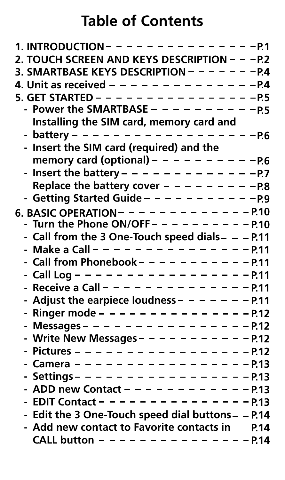# **Table of Contents**

| 1. INTRODUCTION - - - - - - - - - - - - - - - 7                                                        |
|--------------------------------------------------------------------------------------------------------|
| 2. TOUCH SCREEN AND KEYS DESCRIPTION - - - P.2                                                         |
| 3. SMARTBASE KEYS DESCRIPTION - - - - - - - - P.4                                                      |
| 4. Unit as received - - - - - - - - - - - - - - - - 4                                                  |
|                                                                                                        |
|                                                                                                        |
| Installing the SIM card, memory card and                                                               |
|                                                                                                        |
| - Insert the SIM card (required) and the                                                               |
|                                                                                                        |
|                                                                                                        |
| Replace the battery cover - - - - - - - - - - R8                                                       |
| - Getting Started Guide - - - - - - - - - - - 9                                                        |
| 6. BASIC OPERATION - - - - - - - - - - - - - P.10                                                      |
| - Turn the Phone ON/OFF - - - - - - - - - - P.10                                                       |
| - Call from the 3 One-Touch speed dials- - - P.11                                                      |
| - Make a Call – – – – – – – – – – – – – – – P.11<br>- Call from Phonebook – – – – – – – – – – – P.11   |
|                                                                                                        |
| - Call Log – – – – – – – – – – – – – – – – – P.11<br>- Receive a Call – – – – – – – – – – – – – – P.11 |
|                                                                                                        |
| - Adjust the earpiece loudness - - - - - - - P.11                                                      |
| - Ringer mode - - - - - - - - - - - - - - - - 712                                                      |
| - Messages - - - - - - - - - - - - - - - 712                                                           |
| - Write New Messages - - - - - - - - - - - 712                                                         |
| - Pictures – – – – – – – – – – – – – – – – P.12                                                        |
| - Camera – – – – – – – – – – – – – – – – – P.13                                                        |
| - Settings – – – – – – – – – – – – – – – – – P.13                                                      |
| - ADD new Contact - - - - - - - - - - - - P.13                                                         |
| - EDIT Contact - - - - - - - - - - - - - - - 9.13                                                      |
| - Edit the 3 One-Touch speed dial buttons - - P.14                                                     |
| - Add new contact to Favorite contacts in P.14                                                         |
| CALL button - - - - - - - - - - - - - - - P.14                                                         |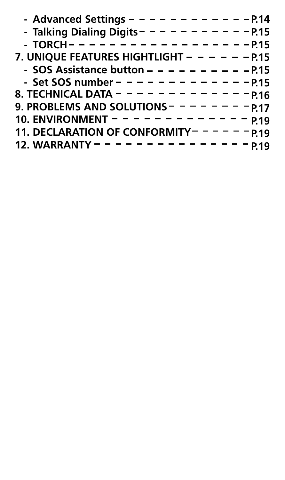| - TORCH - - - - - - - - - - - - - - - - - 9.15   |  |
|--------------------------------------------------|--|
| 7. UNIQUE FEATURES HIGHTLIGHT - - - - - - P.15   |  |
| - SOS Assistance button - - - - - - - - - - P.15 |  |
| - Set SOS number - - - - - - - - - - - - - - 715 |  |
|                                                  |  |
| 9. PROBLEMS AND SOLUTIONS - - - - - - - - P.17   |  |
| 10. ENVIRONMENT - - - - - - - - - - - - - p.19   |  |
| 11. DECLARATION OF CONFORMITY------ p.19         |  |
| 12. WARRANTY - - - - - - - - - - - - - - - 919   |  |
|                                                  |  |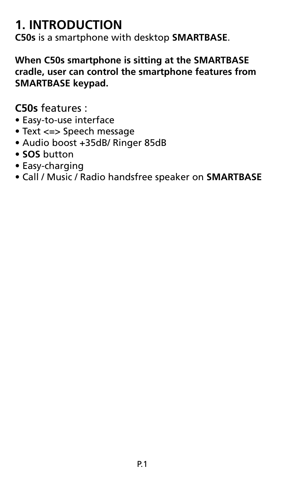#### **1. INTRODUCTION**

**C50s** is a smartphone with desktop **SMARTBASE**.

**When C50s smartphone is sitting at the SMARTBASE cradle, user can control the smartphone features from SMARTBASE keypad.**

**C50s** features :

- Easy-to-use interface
- Text <=> Speech message
- Audio boost +35dB/ Ringer 85dB
- **SOS** button
- Easy-charging
- Call / Music / Radio handsfree speaker on **SMARTBASE**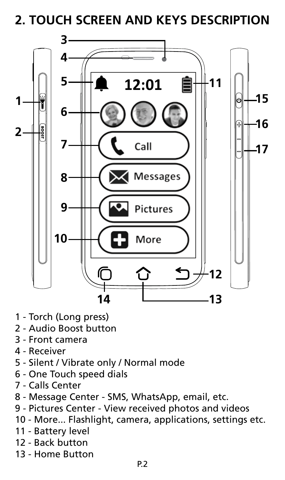**2. TOUCH SCREEN AND KEYS DESCRIPTION**



- 1 Torch (Long press)
- 2 Audio Boost button
- 3 Front camera
- 4 Receiver
- 5 Silent / Vibrate only / Normal mode
- 6 One Touch speed dials
- 7 Calls Center
- 8 Message Center SMS, WhatsApp, email, etc.
- 9 Pictures Center View received photos and videos
- 10 More... Flashlight, camera, applications, settings etc.
- 11 Battery level
- 12 Back button
- 13 Home Button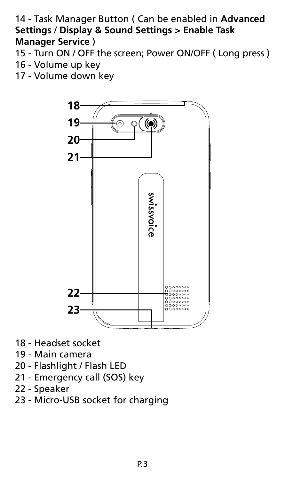#### 14 - Task Manager Button ( Can be enabled in **Advanced Settings** / **Display & Sound Settings > Enable Task Manager Service** )

- 15 Turn ON / OFF the screen; Power ON/OFF ( Long press )
- 16 Volume up key
- 17 Volume down key



- 18 Headset socket
- 19 Main camera
- 20 Flashlight / Flash LED
- 21 Emergency call (SOS) key
- 22 Speaker
- 23 Micro-USB socket for charging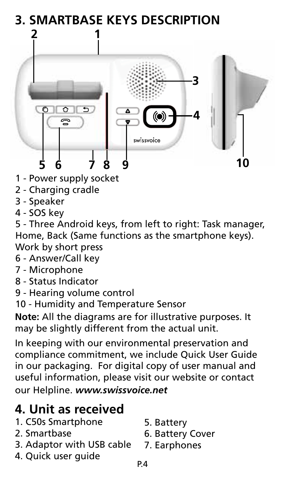# **3. SMARTBASE KEYS DESCRIPTION**



- 1 Power supply socket
- 2 Charging cradle
- 3 Speaker
- 4 SOS key

5 - Three Android keys, from left to right: Task manager, Home, Back (Same functions as the smartphone keys). Work by short press

- 6 Answer/Call key
- 7 Microphone
- 8 Status Indicator
- 9 Hearing volume control
- 10 Humidity and Temperature Sensor

**Note:** All the diagrams are for illustrative purposes. It may be slightly different from the actual unit.

In keeping with our environmental preservation and compliance commitment, we include Quick User Guide in our packaging. For digital copy of user manual and useful information, please visit our website or contact our Helpline. *www.swissvoice.net*

#### **4. Unit as received**

- 1. C50s Smartphone
- 2. Smartbase
- 3. Adaptor with USB cable
- 4. Quick user guide
- 5. Battery
- 6. Battery Cover
- 7. Earphones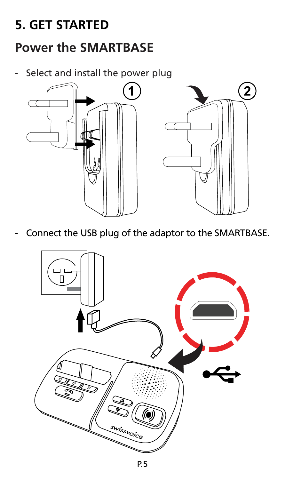#### **5. GET STARTED**

#### **Power the SMARTBASE**

Select and install the power plug



Connect the USB plug of the adaptor to the SMARTBASE.

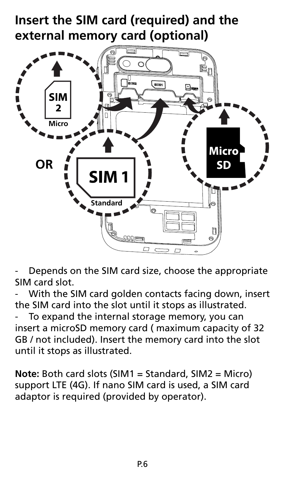#### **Insert the SIM card (required) and the external memory card (optional)**



Depends on the SIM card size, choose the appropriate SIM card slot.

With the SIM card golden contacts facing down, insert the SIM card into the slot until it stops as illustrated.

To expand the internal storage memory, you can insert a microSD memory card ( maximum capacity of 32 GB / not included). Insert the memory card into the slot until it stops as illustrated.

**Note:** Both card slots (SIM1 = Standard, SIM2 = Micro) support LTE (4G). If nano SIM card is used, a SIM card adaptor is required (provided by operator).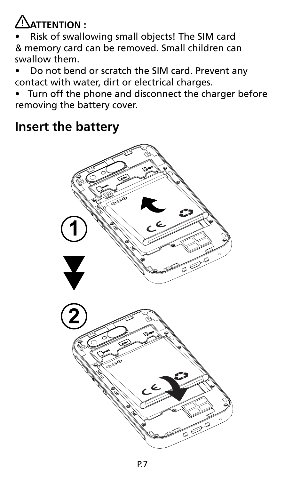# **ATTENTION :**

• Risk of swallowing small objects! The SIM card & memory card can be removed. Small children can swallow them.

- Do not bend or scratch the SIM card. Prevent any contact with water, dirt or electrical charges.
- Turn off the phone and disconnect the charger before removing the battery cover.

#### **Insert the battery**

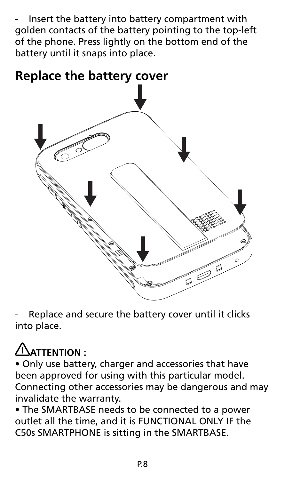Insert the battery into battery compartment with golden contacts of the battery pointing to the top-left of the phone. Press lightly on the bottom end of the battery until it snaps into place.



Replace and secure the battery cover until it clicks into place.

# **ATTENTION :**

• Only use battery, charger and accessories that have been approved for using with this particular model. Connecting other accessories may be dangerous and may invalidate the warranty.

• The SMARTBASE needs to be connected to a power outlet all the time, and it is FUNCTIONAL ONLY IF the C50s SMARTPHONE is sitting in the SMARTBASE.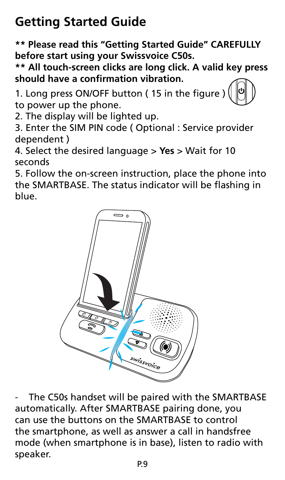# **Getting Started Guide**

**\*\* Please read this "Getting Started Guide" CAREFULLY before start using your Swissvoice C50s.**

**\*\* All touch-screen clicks are long click. A valid key press should have a confirmation vibration.**

1. Long press ON/OFF button ( 15 in the figure ) to power up the phone.

2. The display will be lighted up.

3. Enter the SIM PIN code ( Optional : Service provider dependent )

4. Select the desired language > **Yes** > Wait for 10 seconds

5. Follow the on-screen instruction, place the phone into the SMARTBASE. The status indicator will be flashing in blue.



The C50s handset will be paired with the SMARTBASE automatically. After SMARTBASE pairing done, you can use the buttons on the SMARTBASE to control the smartphone, as well as answer a call in handsfree mode (when smartphone is in base), listen to radio with speaker.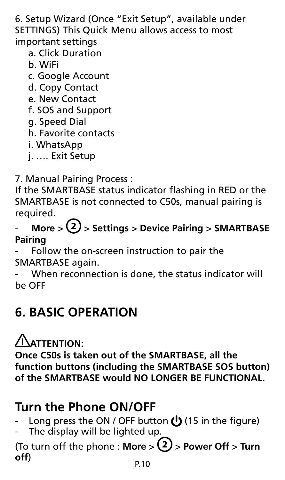6. Setup Wizard (Once "Exit Setup", available under SETTINGS) This Quick Menu allows access to most important settings

- a. Click Duration
- b. WiFi
- c. Google Account
- d. Copy Contact
- e. New Contact
- f. SOS and Support
- g. Speed Dial
- h. Favorite contacts
- i. WhatsApp
- j. …. Exit Setup
- 7. Manual Pairing Process :

If the SMARTBASE status indicator flashing in RED or the SMARTBASE is not connected to C50s, manual pairing is required.

- **More** > > **Settings** > **Device Pairing** > **SMARTBASE Pairing**
- Follow the on-screen instruction to pair the SMARTBASE again.
- When reconnection is done, the status indicator will be OFF

#### **6. BASIC OPERATION**

**ATTENTION:**

**Once C50s is taken out of the SMARTBASE, all the function buttons (including the SMARTBASE SOS button) of the SMARTBASE would NO LONGER BE FUNCTIONAL.**

#### **Turn the Phone ON/OFF**

- Long press the ON / OFF button  $\bigcup$  (15 in the figure)
- The display will be lighted up.

(To turn off the phone : More  $>$   $(2)$  > Power Off > Turn **off**)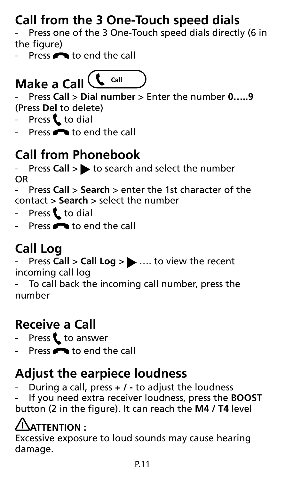# **Call from the 3 One-Touch speed dials**

Press one of the 3 One-Touch speed dials directly (6 in the figure)

Press **or** to end the call

#### $\int$  Call **Make a Call**

- Press **Call** > **Dial number** > Enter the number **0…..9** (Press **Del** to delete)

- Press  $\mathbf t$  to dial
- Press  $\bigcap$  to end the call

# **Call from Phonebook**

Press **Call** > to search and select the number OR

- Press **Call** > **Search** > enter the 1st character of the contact > **Search** > select the number

- Press  $t$  to dial
- Press  $\bigcap$  to end the call

# **Call Log**

**Press Call > Call Log > ....** to view the recent incoming call log

To call back the incoming call number, press the number

# **Receive a Call**

- Press  $t$  to answer
- Press  $\bigcap$  to end the call

#### **Adjust the earpiece loudness**

- During a call, press **+ / -** to adjust the loudness

- If you need extra receiver loudness, press the **BOOST** button (2 in the figure). It can reach the **M4 / T4** level

# **ATTENTION :**

Excessive exposure to loud sounds may cause hearing damage.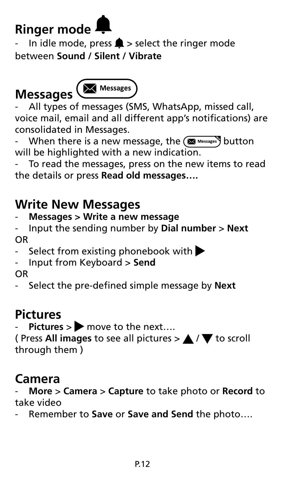# **Ringer mode**

In idle mode, press  $\triangle$  > select the ringer mode between **Sound / Silent / Vibrate**

# **Messages**



All types of messages (SMS, WhatsApp, missed call, voice mail, email and all different app's notifications) are consolidated in Messages.

When there is a new message, the  $(x)$  Messages) button will be highlighted with a new indication.

To read the messages, press on the new items to read the details or press **Read old messages….**

#### **Write New Messages**

#### - **Messages > Write a new message**

- Input the sending number by **Dial number** > **Next** OR
- Select from existing phonebook with  $\blacktriangleright$
- Input from Keyboard > **Send**
- OR
- Select the pre-defined simple message by **Next**

#### **Pictures**

Pictures > move to the next....

( Press All images to see all pictures  $>$   $\blacktriangle$  /  $\blacktriangledown$  to scroll through them )

#### **Camera**

- **More** > **Camera** > **Capture** to take photo or **Record** to take video

Remember to **Save** or **Save and Send** the photo....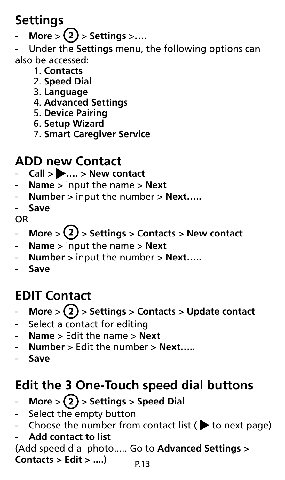# **Settings**

**More** >  $(2)$  > Settings >....

- Under the **Settings** menu, the following options can also be accessed:

- 1. **Contacts**
- 2. **Speed Dial**
- 3. **Language**
- 4. **Advanced Settings**
- 5. **Device Pairing**
- 6. **Setup Wizard**
- 7. **Smart Caregiver Service**

#### **ADD new Contact**

- **Call** > **….** > **New contact**
- **Name** > input the name > **Next**
- **Number** > input the number > **Next…..**
- **Save**

OR

- $More$   $>(2)$  > Settings > Contacts > New contact
- **Name** > input the name > **Next**
- **Number** > input the number > **Next…..**
- **Save**

# **EDIT Contact**

- $More$  >  $(2)$  > Settings > Contacts > Update contact
- Select a contact for editing
- **Name** > Edit the name > **Next**
- **Number** > Edit the number > **Next…..**
- **Save**

#### **Edit the 3 One-Touch speed dial buttons**

- $More > (2) > 5$ ettings > Speed Dial
- Select the empty button
- Choose the number from contact list ( $\blacktriangleright$  to next page)
- **Add contact to list**

P.13 (Add speed dial photo..... Go to **Advanced Settings** > **Contacts > Edit > ....**)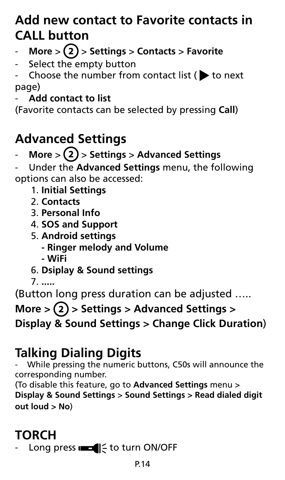#### **Add new contact to Favorite contacts in CALL button**

- $More > (2) > Settings > Contact$
- Select the empty button

Choose the number from contact list ( $\blacktriangleright$  to next page)

#### - **Add contact to list**

(Favorite contacts can be selected by pressing **Call**)

# **Advanced Settings**

- **More** > > **Settings** > **Advanced Settings**

- Under the **Advanced Settings** menu, the following options can also be accessed:

- 1. **Initial Settings**
- 2. **Contacts**
- 3. **Personal Info**
- 4. **SOS and Support**
- 5. **Android settings**
	- **Ringer melody and Volume**
	- **WiFi**
- 6. **Dsiplay & Sound settings**
- 7. **.....**

(Button long press duration can be adjusted …..

More >  $(2)$  > Settings > Advanced Settings > **Display & Sound Settings > Change Click Duration**)

# **Talking Dialing Digits**

- While pressing the numeric buttons, C50s will announce the corresponding number.

(To disable this feature, go to **Advanced Settings** menu > **Display & Sound Settings** > **Sound Settings > Read dialed digit out loud > No**)

# **TORCH**

Long press  $\equiv$   $\equiv$  to turn ON/OFF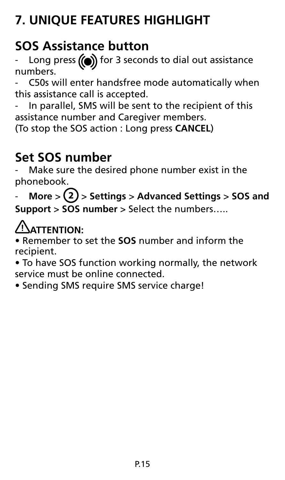# **7. UNIQUE FEATURES HIGHLIGHT**

#### **SOS Assistance button**

Long press  $\textcircled{\textbf{(}}\textcircled{\textbf{}}\textcircled{\textbf{}}\textcircled{\textbf{}}\textcircled{\textbf{}}\textcircled{\textbf{}}\textcircled{\textbf{}}\textcircled{\textbf{}}\textcircled{\textbf{}}\textcircled{\textbf{}}\textcircled{\textbf{}}\textcircled{\textbf{}}\textcircled{\textbf{}}\textcircled{\textbf{}}\textcircled{\textbf{}}\textcircled{\textbf{}}\textcircled{\textbf{}}\textcircled{\textbf{}}\textcircled{\textbf{}}\textcircled{\textbf{}}\textcircled{\textbf{}}\textcircled{\textbf{}}\textcircled{\textbf{}}\text$ numbers.

C50s will enter handsfree mode automatically when this assistance call is accepted.

In parallel, SMS will be sent to the recipient of this assistance number and Caregiver members.

(To stop the SOS action : Long press **CANCEL**)

#### **Set SOS number**

Make sure the desired phone number exist in the phonebook.

 $More > (2) > 5$ ettings > Advanced Settings > SOS and **Support** > **SOS number** > Select the numbers…..

#### **ATTENTION:**

• Remember to set the **SOS** number and inform the recipient.

• To have SOS function working normally, the network service must be online connected.

• Sending SMS require SMS service charge!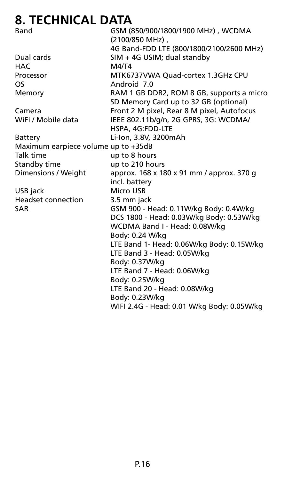#### **8. TECHNICAL DATA**

| ILLIIILAL <i>D</i> AIN              |                                            |  |
|-------------------------------------|--------------------------------------------|--|
| Band                                | GSM (850/900/1800/1900 MHz), WCDMA         |  |
|                                     | (2100/850 MHz).                            |  |
|                                     | 4G Band-FDD LTE (800/1800/2100/2600 MHz)   |  |
| Dual cards                          | SIM + 4G USIM; dual standby                |  |
| <b>HAC</b>                          | M4/T4                                      |  |
| Processor                           | MTK6737VWA Quad-cortex 1.3GHz CPU          |  |
| <b>OS</b>                           | Android 7.0                                |  |
| Memory                              | RAM 1 GB DDR2, ROM 8 GB, supports a micro  |  |
|                                     | SD Memory Card up to 32 GB (optional)      |  |
| Camera                              | Front 2 M pixel, Rear 8 M pixel, Autofocus |  |
| WiFi / Mobile data                  | IEEE 802.11b/g/n, 2G GPRS, 3G: WCDMA/      |  |
|                                     | HSPA, 4G:FDD-LTE                           |  |
| Battery                             | Li-Ion, 3.8V, 3200mAh                      |  |
| Maximum earpiece volume up to +35dB |                                            |  |
| Talk time                           | up to 8 hours                              |  |
| Standby time                        | up to 210 hours                            |  |
| Dimensions / Weight                 | approx. 168 x 180 x 91 mm / approx. 370 g  |  |
|                                     | incl. battery                              |  |
| USB jack                            | Micro USB                                  |  |
| <b>Headset connection</b>           | 3.5 mm jack                                |  |
| <b>SAR</b>                          | GSM 900 - Head: 0.11W/kg Body: 0.4W/kg     |  |
|                                     | DCS 1800 - Head: 0.03W/kg Body: 0.53W/kg   |  |
|                                     | WCDMA Band I - Head: 0.08W/kg              |  |
|                                     | Body: 0.24 W/kg                            |  |
|                                     | LTE Band 1- Head: 0.06W/kg Body: 0.15W/kg  |  |
|                                     | LTE Band 3 - Head: 0.05W/kg                |  |
|                                     | Body: 0.37W/kg                             |  |
|                                     | LTE Band 7 - Head: 0.06W/kg                |  |
|                                     | Body: 0.25W/kg                             |  |
|                                     | LTE Band 20 - Head: 0.08W/kg               |  |
|                                     | Body: 0.23W/kg                             |  |
|                                     | WIFI 2.4G - Head: 0.01 W/kg Body: 0.05W/kg |  |
|                                     |                                            |  |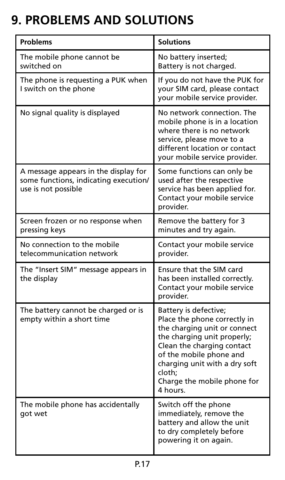# **9. PROBLEMS AND SOLUTIONS**

| <b>Problems</b>                                                                                      | <b>Solutions</b>                                                                                                                                                                                                                                                    |
|------------------------------------------------------------------------------------------------------|---------------------------------------------------------------------------------------------------------------------------------------------------------------------------------------------------------------------------------------------------------------------|
| The mobile phone cannot be<br>switched on                                                            | No battery inserted;<br>Battery is not charged.                                                                                                                                                                                                                     |
| The phone is requesting a PUK when<br>I switch on the phone                                          | If you do not have the PUK for<br>your SIM card, please contact<br>your mobile service provider.                                                                                                                                                                    |
| No signal quality is displayed                                                                       | No network connection. The<br>mobile phone is in a location<br>where there is no network<br>service, please move to a<br>different location or contact<br>your mobile service provider.                                                                             |
| A message appears in the display for<br>some functions, indicating execution/<br>use is not possible | Some functions can only be<br>used after the respective<br>service has been applied for.<br>Contact your mobile service<br>provider.                                                                                                                                |
| Screen frozen or no response when<br>pressing keys                                                   | Remove the battery for 3<br>minutes and try again.                                                                                                                                                                                                                  |
| No connection to the mobile<br>telecommunication network                                             | Contact your mobile service<br>provider.                                                                                                                                                                                                                            |
| The "Insert SIM" message appears in<br>the display                                                   | Ensure that the SIM card<br>has been installed correctly.<br>Contact your mobile service<br>provider.                                                                                                                                                               |
| The battery cannot be charged or is<br>empty within a short time                                     | Battery is defective;<br>Place the phone correctly in<br>the charging unit or connect<br>the charging unit properly;<br>Clean the charging contact<br>of the mobile phone and<br>charging unit with a dry soft<br>cloth:<br>Charge the mobile phone for<br>4 hours. |
| The mobile phone has accidentally<br>got wet                                                         | Switch off the phone<br>immediately, remove the<br>battery and allow the unit<br>to dry completely before<br>powering it on again.                                                                                                                                  |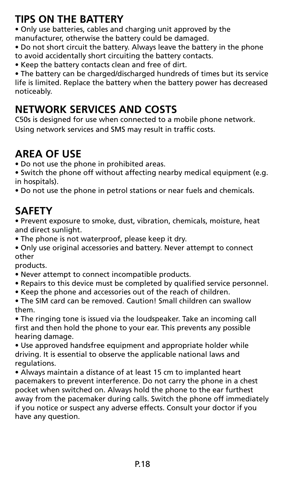#### **TIPS ON THE BATTERY**

• Only use batteries, cables and charging unit approved by the manufacturer, otherwise the battery could be damaged.

• Do not short circuit the battery. Always leave the battery in the phone to avoid accidentally short circuiting the battery contacts.

• Keep the battery contacts clean and free of dirt.

• The battery can be charged/discharged hundreds of times but its service life is limited. Replace the battery when the battery power has decreased noticeably.

#### **NETWORK SERVICES AND COSTS**

C50s is designed for use when connected to a mobile phone network. Using network services and SMS may result in traffic costs.

#### **AREA OF USE**

- Do not use the phone in prohibited areas.
- Switch the phone off without affecting nearby medical equipment (e.g. in hospitals).
- Do not use the phone in petrol stations or near fuels and chemicals.

#### **SAFETY**

• Prevent exposure to smoke, dust, vibration, chemicals, moisture, heat and direct sunlight.

- The phone is not waterproof, please keep it dry.
- Only use original accessories and battery. Never attempt to connect other

products.

- Never attempt to connect incompatible products.
- Repairs to this device must be completed by qualified service personnel.
- Keep the phone and accessories out of the reach of children.
- The SIM card can be removed. Caution! Small children can swallow them.

• The ringing tone is issued via the loudspeaker. Take an incoming call first and then hold the phone to your ear. This prevents any possible hearing damage.

• Use approved handsfree equipment and appropriate holder while driving. It is essential to observe the applicable national laws and regulations.

• Always maintain a distance of at least 15 cm to implanted heart pacemakers to prevent interference. Do not carry the phone in a chest pocket when switched on. Always hold the phone to the ear furthest away from the pacemaker during calls. Switch the phone off immediately if you notice or suspect any adverse effects. Consult your doctor if you have any question.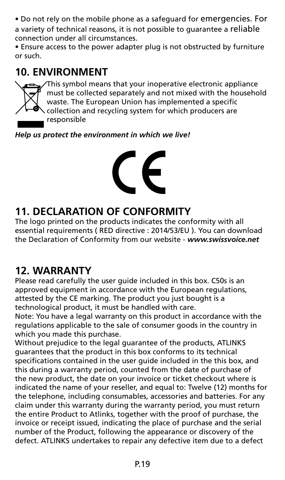• Do not rely on the mobile phone as a safeguard for emergencies. For a variety of technical reasons, it is not possible to guarantee a reliable connection under all circumstances.

• Ensure access to the power adapter plug is not obstructed by furniture or such.

#### **10. ENVIRONMENT**



This symbol means that your inoperative electronic appliance must be collected separately and not mixed with the household waste. The European Union has implemented a specific collection and recycling system for which producers are responsible

*Help us protect the environment in which we live!*



#### **11. DECLARATION OF CONFORMITY**

The logo printed on the products indicates the conformity with all essential requirements ( RED directive : 2014/53/EU ). You can download the Declaration of Conformity from our website - *www.swissvoice.net*

#### **12. WARRANTY**

Please read carefully the user guide included in this box. C50s is an approved equipment in accordance with the European regulations, attested by the CE marking. The product you just bought is a technological product, it must be handled with care.

Note: You have a legal warranty on this product in accordance with the regulations applicable to the sale of consumer goods in the country in which you made this purchase.

Without prejudice to the legal guarantee of the products, ATLINKS guarantees that the product in this box conforms to its technical specifications contained in the user guide included in the this box, and this during a warranty period, counted from the date of purchase of the new product, the date on your invoice or ticket checkout where is indicated the name of your reseller, and equal to: Twelve (12) months for the telephone, including consumables, accessories and batteries. For any claim under this warranty during the warranty period, you must return the entire Product to Atlinks, together with the proof of purchase, the invoice or receipt issued, indicating the place of purchase and the serial number of the Product, following the appearance or discovery of the defect. ATLINKS undertakes to repair any defective item due to a defect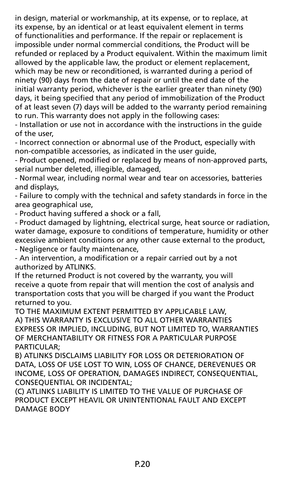in design, material or workmanship, at its expense, or to replace, at its expense, by an identical or at least equivalent element in terms of functionalities and performance. If the repair or replacement is impossible under normal commercial conditions, the Product will be refunded or replaced by a Product equivalent. Within the maximum limit allowed by the applicable law, the product or element replacement, which may be new or reconditioned, is warranted during a period of ninety (90) days from the date of repair or until the end date of the initial warranty period, whichever is the earlier greater than ninety (90) days, it being specified that any period of immobilization of the Product of at least seven (7) days will be added to the warranty period remaining to run. This warranty does not apply in the following cases:

- Installation or use not in accordance with the instructions in the guide of the user,

- Incorrect connection or abnormal use of the Product, especially with non-compatible accessories, as indicated in the user guide,

- Product opened, modified or replaced by means of non-approved parts, serial number deleted, illegible, damaged,

- Normal wear, including normal wear and tear on accessories, batteries and displays,

- Failure to comply with the technical and safety standards in force in the area geographical use,

- Product having suffered a shock or a fall,

- Product damaged by lightning, electrical surge, heat source or radiation, water damage, exposure to conditions of temperature, humidity or other excessive ambient conditions or any other cause external to the product, - Negligence or faulty maintenance,

- An intervention, a modification or a repair carried out by a not authorized by ATLINKS.

If the returned Product is not covered by the warranty, you will receive a quote from repair that will mention the cost of analysis and transportation costs that you will be charged if you want the Product returned to you.

TO THE MAXIMUM EXTENT PERMITTED BY APPLICABLE LAW, A) THIS WARRANTY IS EXCLUSIVE TO ALL OTHER WARRANTIES EXPRESS OR IMPLIED, INCLUDING, BUT NOT LIMITED TO, WARRANTIES OF MERCHANTABILITY OR FITNESS FOR A PARTICULAR PURPOSE PARTICULAR;

B) ATLINKS DISCLAIMS LIABILITY FOR LOSS OR DETERIORATION OF DATA, LOSS OF USE LOST TO WIN, LOSS OF CHANCE, DEREVENUES OR INCOME, LOSS OF OPERATION, DAMAGES INDIRECT, CONSEQUENTIAL, CONSEQUENTIAL OR INCIDENTAL;

(C) ATLINKS LIABILITY IS LIMITED TO THE VALUE OF PURCHASE OF PRODUCT EXCEPT HEAVIL OR UNINTENTIONAL FAULT AND EXCEPT DAMAGE BODY